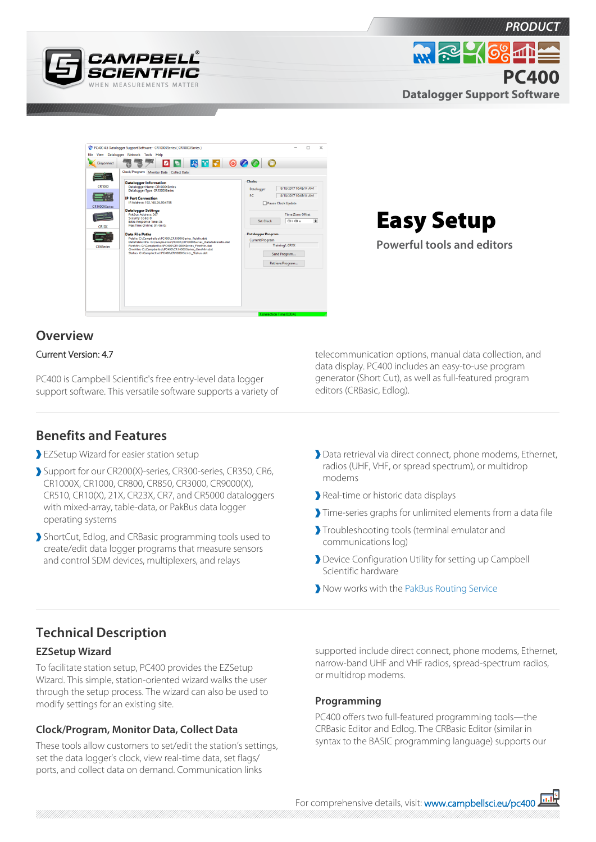



Easy Setup

**Powerful tools and editors**

*PRODUCT*

**PC400**

**Datalogger Support Software**

 $m \approx 168 \text{ m}$ 

## **Overview** Current Version: 4.7

PC400 is Campbell Scientific's free entry-level data logger support software. This versatile software supports a variety of

## **Benefits and Features**

- EZSetup Wizard for easier station setup
- Support for our CR200(X)-series, CR300-series, CR350, CR6, CR1000X, CR1000, CR800, CR850, CR3000, CR9000(X), CR510, CR10(X), 21X, CR23X, CR7, and CR5000 dataloggers with mixed-array, table-data, or PakBus data logger operating systems
- ShortCut, Edlog, and CRBasic programming tools used to create/edit data logger programs that measure sensors and control SDM devices, multiplexers, and relays

telecommunication options, manual data collection, and data display. PC400 includes an easy-to-use program generator (Short Cut), as well as full-featured program editors (CRBasic, Edlog).

- Data retrieval via direct connect, phone modems, Ethernet, radios (UHF, VHF, or spread spectrum), or multidrop modems
- Real-time or historic data displays
- Time-series graphs for unlimited elements from a data file
- Troubleshooting tools (terminal emulator and communications log)
- Device Configuration Utility for setting up Campbell Scientific hardware
- Now works with the [PakBus Routing Service](http://www.campbellsci.eu/pbrouter)

# **Technical Description**

#### **EZSetup Wizard**

To facilitate station setup, PC400 provides the EZSetup Wizard. This simple, station-oriented wizard walks the user through the setup process. The wizard can also be used to modify settings for an existing site.

### **Clock/Program, Monitor Data, Collect Data**

These tools allow customers to set/edit the station's settings, set the data logger's clock, view real-time data, set flags/ ports, and collect data on demand. Communication links

supported include direct connect, phone modems, Ethernet, narrow-band UHF and VHF radios, spread-spectrum radios, or multidrop modems.

#### **Programming**

PC400 offers two full-featured programming tools—the CRBasic Editor and Edlog. The CRBasic Editor (similar in syntax to the BASIC programming language) supports our